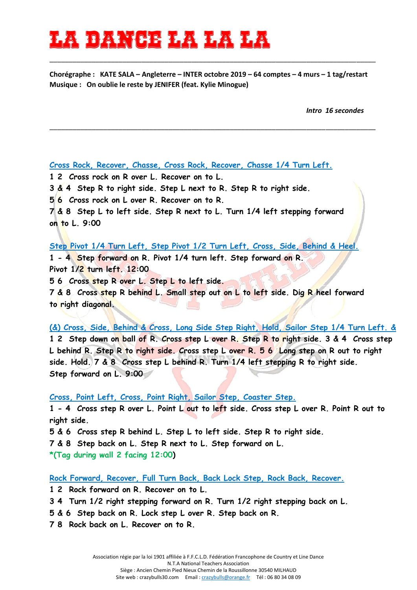## 16 **dan 18 dan 18 dan 18 da**n

**Chorégraphe : KATE SALA – Angleterre – INTER octobre 2019 – 64 comptes – 4 murs – 1 tag/restart Musique : On oublie le reste by JENIFER (feat. Kylie Minogue)** 

\_\_\_\_\_\_\_\_\_\_\_\_\_\_\_\_\_\_\_\_\_\_\_\_\_\_\_\_\_\_\_\_\_\_\_\_\_\_\_\_\_\_\_\_\_\_\_\_\_\_\_\_\_\_\_\_\_\_\_\_\_\_\_\_\_\_\_\_\_\_\_\_\_\_\_\_\_\_\_\_\_\_\_\_\_

\_\_\_\_\_\_\_\_\_\_\_\_\_\_\_\_\_\_\_\_\_\_\_\_\_\_\_\_\_\_\_\_\_\_\_\_\_\_\_\_\_\_\_\_\_\_\_\_\_\_\_\_\_\_\_\_\_\_\_\_\_\_\_\_\_\_\_\_\_\_\_\_\_\_\_\_\_\_\_\_\_\_\_\_\_

*Intro 16 secondes*

## **Cross Rock, Recover, Chasse, Cross Rock, Recover, Chasse 1/4 Turn Left.**

**1 2 Cross rock on R over L. Recover on to L.** 

**3 & 4 Step R to right side. Step L next to R. Step R to right side.** 

**5 6 Cross rock on L over R. Recover on to R.** 

**7 & 8 Step L to left side. Step R next to L. Turn 1/4 left stepping forward on to L. 9:00** 

## **Step Pivot 1/4 Turn Left, Step Pivot 1/2 Turn Left, Cross, Side, Behind & Heel.**

**1 - 4 Step forward on R. Pivot 1/4 turn left. Step forward on R. Pivot 1/2 turn left. 12:00** 

**5 6 Cross step R over L. Step L to left side.** 

**7 & 8 Cross step R behind L. Small step out on L to left side. Dig R heel forward to right diagonal.** 

**(&) Cross, Side, Behind & Cross, Long Side Step Right, Hold, Sailor Step 1/4 Turn Left. & 1 2 Step down on ball of R. Cross step L over R. Step R to right side. 3 & 4 Cross step L behind R. Step R to right side. Cross step L over R. 5 6 Long step on R out to right side. Hold. 7 & 8 Cross step L behind R. Turn 1/4 left stepping R to right side. Step forward on L. 9:00** 

**Cross, Point Left, Cross, Point Right, Sailor Step, Coaster Step.**

**1 - 4 Cross step R over L. Point L out to left side. Cross step L over R. Point R out to right side.** 

**5 & 6 Cross step R behind L. Step L to left side. Step R to right side.** 

**7 & 8 Step back on L. Step R next to L. Step forward on L.** 

**\*(Tag during wall 2 facing 12:00)** 

**Rock Forward, Recover, Full Turn Back, Back Lock Step, Rock Back, Recover.**

**1 2 Rock forward on R. Recover on to L.** 

**3 4 Turn 1/2 right stepping forward on R. Turn 1/2 right stepping back on L.** 

**5 & 6 Step back on R. Lock step L over R. Step back on R.** 

**7 8 Rock back on L. Recover on to R.**